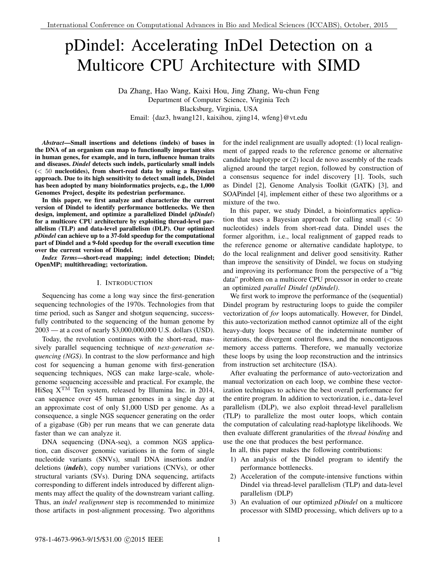# pDindel: Accelerating InDel Detection on a Multicore CPU Architecture with SIMD

Da Zhang, Hao Wang, Kaixi Hou, Jing Zhang, Wu-chun Feng Department of Computer Science, Virginia Tech Blacksburg, Virginia, USA Email: *{*daz3, hwang121, kaixihou, zjing14, wfeng*}*@vt.edu

*Abstract*—Small insertions and deletions (indels) of bases in the DNA of an organism can map to functionally important sites in human genes, for example, and in turn, influence human traits and diseases. *Dindel* detects such indels, particularly small indels (*<* 50 nucleotides), from short-read data by using a Bayesian approach. Due to its high sensitivity to detect small indels, Dindel has been adopted by many bioinformatics projects, e.g., the 1,000 Genomes Project, despite its pedestrian performance.

In this paper, we first analyze and characterize the current version of Dindel to identify performance bottlenecks. We then design, implement, and optimize a parallelized Dindel (*pDindel*) for a multicore CPU architecture by exploiting thread-level parallelism (TLP) and data-level parallelism (DLP). Our optimized *pDindel* can achieve up to a 37-fold speedup for the computational part of Dindel and a 9-fold speedup for the overall execution time over the current version of Dindel.

*Index Terms*—short-read mapping; indel detection; Dindel; OpenMP; multithreading; vectorization.

# I. INTRODUCTION

Sequencing has come a long way since the first-generation sequencing technologies of the 1970s. Technologies from that time period, such as Sanger and shotgun sequencing, successfully contributed to the sequencing of the human genome by 2003 — at a cost of nearly \$3,000,000,000 U.S. dollars (USD).

Today, the revolution continues with the short-read, massively parallel sequencing technique of *next-generation sequencing (NGS)*. In contrast to the slow performance and high cost for sequencing a human genome with first-generation sequencing techniques, NGS can make large-scale, wholegenome sequencing accessible and practical. For example, the HiSeq  $X^{TM}$  Ten system, released by Illumina Inc. in 2014, can sequence over 45 human genomes in a single day at an approximate cost of only \$1,000 USD per genome. As a consequence, a single NGS sequencer generating on the order of a gigabase (Gb) per run means that we can generate data faster than we can analyze it.

DNA sequencing (DNA-seq), a common NGS application, can discover genomic variations in the form of single nucleotide variants (SNVs), small DNA insertions and/or deletions (*indels*), copy number variations (CNVs), or other structural variants (SVs). During DNA sequencing, artifacts corresponding to different indels introduced by different alignments may affect the quality of the downstream variant calling. Thus, an *indel realignment* step is recommended to minimize those artifacts in post-alignment processing. Two algorithms for the indel realignment are usually adopted: (1) local realignment of gapped reads to the reference genome or alternative candidate haplotype or (2) local de novo assembly of the reads aligned around the target region, followed by construction of a consensus sequence for indel discovery [1]. Tools, such as Dindel [2], Genome Analysis Toolkit (GATK) [3], and SOAPindel [4], implement either of these two algorithms or a mixture of the two.

In this paper, we study Dindel, a bioinformatics application that uses a Bayesian approach for calling small (*<* 50 nucleotides) indels from short-read data. Dindel uses the former algorithm, i.e., local realignment of gapped reads to the reference genome or alternative candidate haplotype, to do the local realignment and deliver good sensitivity. Rather than improve the sensitivity of Dindel, we focus on studying and improving its performance from the perspective of a "big data" problem on a multicore CPU processor in order to create an optimized *parallel Dindel (pDindel)*.

We first work to improve the performance of the (sequential) Dindel program by restructuring loops to guide the compiler vectorization of *for* loops automatically. However, for Dindel, this auto-vectorization method cannot optimize all of the eight heavy-duty loops because of the indeterminate number of iterations, the divergent control flows, and the noncontiguous memory access patterns. Therefore, we manually vectorize these loops by using the loop reconstruction and the intrinsics from instruction set architecture (ISA).

After evaluating the performance of auto-vectorization and manual vectorization on each loop, we combine these vectorization techniques to achieve the best overall performance for the entire program. In addition to vectorization, i.e., data-level parallelism (DLP), we also exploit thread-level parallelism (TLP) to parallelize the most outer loops, which contain the computation of calculating read-haplotype likelihoods. We then evaluate different granularities of the *thread binding* and use the one that produces the best performance.

In all, this paper makes the following contributions:

- 1) An analysis of the Dindel program to identify the performance bottlenecks.
- 2) Acceleration of the compute-intensive functions within Dindel via thread-level parallelism (TLP) and data-level parallelism (DLP)
- 3) An evaluation of our optimized *pDindel* on a multicore processor with SIMD processing, which delivers up to a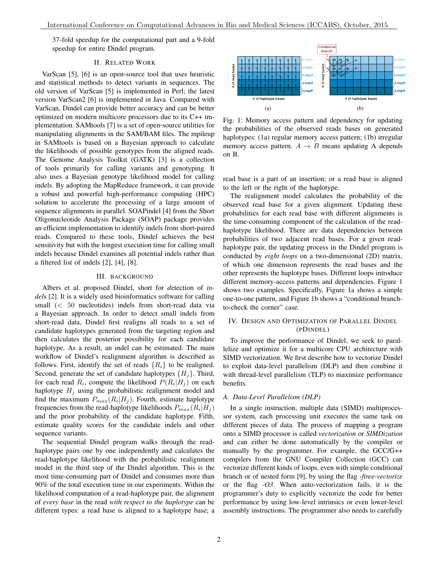37-fold speedup for the computational part and a 9-fold speedup for entire Dindel program.

# II. RELATED WORK

VarScan [5], [6] is an open-source tool that uses heuristic and statistical methods to detect variants in sequences. The old version of VarScan [5] is implemented in Perl; the latest version VarScan2 [6] is implemented in Java. Compared with VarScan, Dindel can provide better accuracy and can be better optimized on modern multicore processors due to its C++ implementation. SAMtools [7] is a set of open-source utilities for manipulating alignments in the SAM/BAM files. The mpileup in SAMtools is based on a Bayesian approach to calculate the likelihoods of possible genotypes from the aligned reads. The Genome Analysis Toolkit (GATK) [3] is a collection of tools primarily for calling variants and genotyping. It also uses a Bayesian genotype likelihood model for calling indels. By adopting the MapReduce framework, it can provide a robust and powerful high-performance computing (HPC) solution to accelerate the processing of a large amount of sequence alignments in parallel. SOAPindel [4] from the Short Oligonucleotide Analysis Package (SOAP) package provides an efficient implementation to identify indels from short-paired reads. Compared to these tools, Dindel achieves the best sensitivity but with the longest execution time for calling small indels because Dindel examines all potential indels rather than a filtered list of indels [2], [4], [8].

# III. BACKGROUND

Albers et al. proposed Dindel, short for *d*etection of *indel*s [2]. It is a widely used bioinformatics software for calling small (*<* 50 nucleotides) indels from short-read data via a Bayesian approach. In order to detect small indels from short-read data, Dindel first realigns all reads to a set of candidate haplotypes generated from the targeting region and then calculates the posterior possibility for each candidate haplotype. As a result, an indel can be estimated. The main workflow of Dindel's realignment algorithm is described as follows. First, identify the set of reads  ${R<sub>i</sub>}$  to be realigned. Second, generate the set of candidate haplotypes  ${H<sub>i</sub>}$ . Third, for each read  $R_i$ , compute the likelihood  $P(R_i|H_i)$  on each haplotype  $H_i$  using the probabilistic realignment model and find the maximum  $P_{max}(R_i|H_j)$ . Fourth, estimate haplotype frequencies from the read-haplotype likelihoods  $P_{max}(R_i|H_i)$ and the prior probability of the candidate haplotype. Fifth, estimate quality scores for the candidate indels and other sequence variants.

The sequential Dindel program walks through the readhaplotype pairs one by one independently and calculates the read-haplotype likelihood with the probabilistic realignment model in the third step of the Dindel algorithm. This is the most time-consuming part of Dindel and consumes more than 90% of the total execution time in our experiments. Within the likelihood computation of a read-haplotype pair, the alignment of *every base* in the read *with respect to the haplotype* can be different types: a read base is aligned to a haplotype base; a



Fig. 1: Memory access pattern and dependency for updating the probabilities of the observed reads bases on generated haplotypes: (1a) regular memory access pattern; (1b) irregular memory access pattern.  $A \rightarrow B$  means updating A depends on B.

read base is a part of an insertion; or a read base is aligned to the left or the right of the haplotype.

The realignment model calculates the probability of the observed read base for a given alignment. Updating these probabilities for each read base with different alignments is the time-consuming component of the calculation of the readhaplotype likelihood. There are data dependencies between probabilities of two adjacent read bases. For a given readhaplotype pair, the updating process in the Dindel program is conducted by *eight loops* on a two-dimensional (2D) matrix, of which one dimension represents the read bases and the other represents the haplotype bases. Different loops introduce different memory-access patterns and dependencies. Figure 1 shows two examples. Specifically, Figure 1a shows a simple one-to-one pattern, and Figure 1b shows a "conditional branchto-check the corner" case.

# IV. DESIGN AND OPTIMIZATION OF PARALLEL DINDEL (PDINDEL)

To improve the performance of Dindel, we seek to parallelize and optimize it for a multicore CPU architecture with SIMD vectorization. We first describe how to vectorize Dindel to exploit data-level parallelism (DLP) and then combine it with thread-level parallelism (TLP) to maximize performance benefits.

# *A. Data-Level Parallelism (DLP)*

In a single instruction, multiple data (SIMD) multiprocessor system, each processing unit executes the same task on different pieces of data. The process of mapping a program onto a SIMD processor is called *vectorization* or *SIMDization* and can either be done automatically by the compiler or manually by the programmer. For example, the GCC/G++ compilers from the GNU Compiler Collection (GCC) can vectorize different kinds of loops, even with simple conditional branch or of nested form [9], by using the flag *-ftree-vectorize* or the flag *-O3*. When auto-vectorization fails, it is the programmer's duty to explicitly vectorize the code for better performance by using low-level intrinsics or even lower-level assembly instructions. The programmer also needs to carefully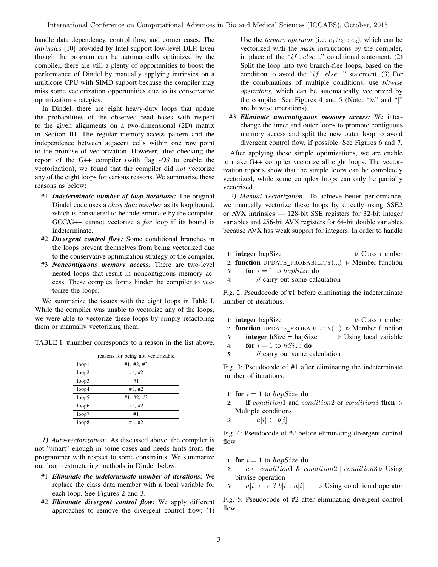handle data dependency, control flow, and corner cases. The *intrinsics* [10] provided by Intel support low-level DLP. Even though the program can be automatically optimized by the compiler, there are still a plenty of opportunities to boost the performance of Dindel by manually applying intrinsics on a multicore CPU with SIMD support because the compiler may miss some vectorization opportunities due to its conservative optimization strategies.

In Dindel, there are eight heavy-duty loops that update the probabilities of the observed read bases with respect to the given alignments on a two-dimensional (2D) matrix in Section III. The regular memory-access pattern and the independence between adjacent cells within one row point to the promise of vectorization. However, after checking the report of the G++ compiler (with flag *-O3* to enable the vectorization), we found that the compiler did *not* vectorize any of the eight loops for various reasons. We summarize these reasons as below:

- #1 *Indeterminate number of loop iterations:* The original Dindel code uses a *class data member* as its loop bound, which is considered to be indeterminate by the compiler. GCC/G++ cannot vectorize a *for* loop if its bound is indeterminate.
- #2 *Divergent control flow:* Some conditional branches in the loops prevent themselves from being vectorized due to the conservative optimization strategy of the compiler.
- #3 *Noncontiguous memory access:* There are two-level nested loops that result in noncontiguous memory access. These complex forms hinder the compiler to vectorize the loops.

We summarize the issues with the eight loops in Table I. While the compiler was unable to vectorize any of the loops, we were able to vectorize these loops by simply refactoring them or manually vectorizing them.

|       | reasons for being not vectorizable |
|-------|------------------------------------|
| loop1 | #1, #2, #3                         |
| loop2 | #1, #2                             |
| loop3 | #1                                 |
| loop4 | #1, #2                             |
| loop5 | #1, #2, #3                         |
| loop6 | #1, #2                             |
| loop7 | #1                                 |
| loop8 | #1, #2                             |

TABLE I: #number corresponds to a reason in the list above.

*1) Auto-vectorization:* As discussed above, the compiler is not "smart" enough in some cases and needs hints from the programmer with respect to some constraints. We summarize our loop restructuring methods in Dindel below:

- #1 *Eliminate the indeterminate number of iterations:* We replace the class data member with a local variable for each loop. See Figures 2 and 3.
- #2 *Eliminate divergent control flow:* We apply different approaches to remove the divergent control flow: (1)

Use the *ternary operator* (i.e.  $e_1?e_2 : e_3$ ), which can be vectorized with the *mask* instructions by the compiler, in place of the "*if...else...*" conditional statement. (2) Split the loop into two branch-free loops, based on the condition to avoid the "*if...else...*" statement. (3) For the combinations of multiple conditions, use *bitwise operations*, which can be automatically vectorized by the compiler. See Figures 4 and 5 (Note: "&" and "*|*" are bitwise operations).

#3 *Eliminate noncontiguous memory access:* We interchange the inner and outer loops to promote contiguous memory access and split the new outer loop to avoid divergent control flow, if possible. See Figures 6 and 7.

After applying these simple optimizations, we are enable to make G++ compiler vectorize all eight loops. The vectorization reports show that the simple loops can be completely vectorized, while some complex loops can only be partially vectorized.

*2) Manual vectorization:* To achieve better performance, we manually vectorize these loops by directly using SSE2 or AVX intrinsics — 128-bit SSE registers for 32-bit integer variables and 256-bit AVX registers for 64-bit double variables because AVX has weak support for integers. In order to handle

|    | 1: <b>integer</b> hap Size                                               | $\triangleright$ Class member |
|----|--------------------------------------------------------------------------|-------------------------------|
|    | 2: <b>function</b> UPDATE_PROBABILITY() $\triangleright$ Member function |                               |
| 3: | <b>for</b> $i = 1$ to hapSize <b>do</b>                                  |                               |
| 4: | // carry out some calculation                                            |                               |

Fig. 2: Pseudocode of #1 before eliminating the indeterminate number of iterations.

- 1: **integer** hapSize  $\triangleright$  Class member
- 2: function UPDATE PROBABILITY(...)  $\triangleright$  Member function
- 3: **integer** hSize = hapSize  $\triangleright$  Using local variable
- 4: **for**  $i = 1$  to *hSize* **do**
- 5: // carry out some calculation

Fig. 3: Pseudocode of #1 after eliminating the indeterminate number of iterations.

- 1: **for**  $i = 1$  to *hapSize* **do**
- 2: if *condition*1 and *condition*2 or *condition*3 then . Multiple conditions
- 3:  $a[i] \leftarrow b[i]$

Fig. 4: Pseudocode of #2 before eliminating divergent control flow.

- 1: **for**  $i = 1$  to *hapSize* **do**
- 2:  $c \leftarrow condition1 \& condition2 \mid condition3 \triangleright \text{Using}$ bitwise operation

3:  $a[i] \leftarrow c$ ?  $b[i] : a[i]$   $\triangleright$  Using conditional operator

Fig. 5: Pseudocode of #2 after eliminating divergent control flow.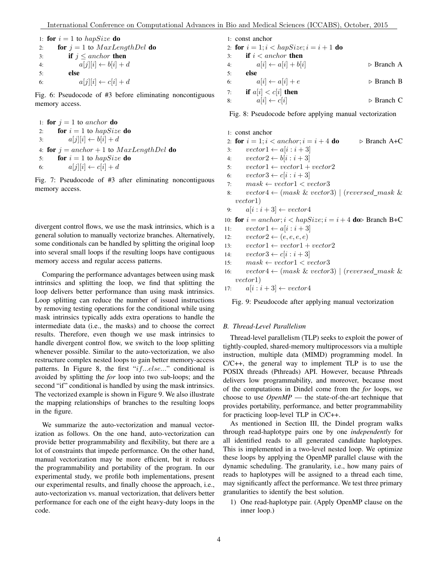1: **for**  $i = 1$  to *hapSize* **do** 2: **for**  $j = 1$  to  $MaxLengthDel$  **do** 3: **if**  $j \leq$  *anchor* **then**<br>4:  $a[i][i] \leftarrow b[i] + c$ 4:  $a[j][i] \leftarrow b[i] + d$ <br>5: **else** else 6:  $a[j][i] \leftarrow c[i] + d$ 

Fig. 6: Pseudocode of #3 before eliminating noncontiguous memory access.

1: **for**  $j = 1$  to *anchor* **do** 2: **for**  $i = 1$  to *hapSize* **do** 3:  $a[j][i] \leftarrow b[i] + d$ 4: **for**  $j = anchor + 1$  to  $MaxLengthDel$  **do** 5: **for**  $i = 1$  to *hapSize* **do** 6:  $a[j][i] \leftarrow c[i] + d$ 

Fig. 7: Pseudocode of #3 after eliminating noncontiguous memory access.

divergent control flows, we use the mask intrinsics, which is a general solution to manually vectorize branches. Alternatively, some conditionals can be handled by splitting the original loop into several small loops if the resulting loops have contiguous memory access and regular access patterns.

Comparing the performance advantages between using mask intrinsics and splitting the loop, we find that splitting the loop delivers better performance than using mask intrinsics. Loop splitting can reduce the number of issued instructions by removing testing operations for the conditional while using mask intrinsics typically adds extra operations to handle the intermediate data (i.e., the masks) and to choose the correct results. Therefore, even though we use mask intrinsics to handle divergent control flow, we switch to the loop splitting whenever possible. Similar to the auto-vectorization, we also restructure complex nested loops to gain better memory-access patterns. In Figure 8, the first "*if...else...*" conditional is avoided by splitting the *for* loop into two sub-loops; and the second "if" conditional is handled by using the mask intrinsics. The vectorized example is shown in Figure 9. We also illustrate the mapping relationships of branches to the resulting loops in the figure.

We summarize the auto-vectorization and manual vectorization as follows. On the one hand, auto-vectorization can provide better programmability and flexibility, but there are a lot of constraints that impede performance. On the other hand, manual vectorization may be more efficient, but it reduces the programmability and portability of the program. In our experimental study, we profile both implementations, present our experimental results, and finally choose the approach, i.e., auto-vectorization vs. manual vectorization, that delivers better performance for each one of the eight heavy-duty loops in the code.

|    | 1: const anchor                           |                           |
|----|-------------------------------------------|---------------------------|
|    | 2: for $i = 1; i < hapSize; i = i + 1$ do |                           |
| 3: | if $i <$ anchor then                      |                           |
|    | $a[i] \leftarrow a[i] + b[i]$<br>4:       | $\triangleright$ Branch A |
| 5: | else                                      |                           |
| 6: | $a[i] \leftarrow a[i] + e$                | $\triangleright$ Branch B |
| 7: | if $a[i] < c[i]$ then                     |                           |
| 8: | $a[i] \leftarrow c[i]$                    | $\triangleright$ Branch C |

Fig. 8: Pseudocode before applying manual vectorization

1: const anchor

2: **for** 
$$
i = 1; i < anchor; i = i + 4
$$
 **do**  $\triangleright$  Branch A+C

- 3:  $vector1 \leftarrow a[i : i + 3]$ <br>4:  $vector2 \leftarrow b[i : i + 3]$
- 4:  $vector2 \leftarrow b[i : i + 3]$ <br>5:  $vector1 \leftarrow vector1 +$
- 5:  $vector1 \leftarrow vector1 + vector2$ <br>6:  $vector3 \leftarrow c[i:i+3]$
- 6:  $vector3 \leftarrow c[i : i + 3]$ <br>7:  $mask \leftarrow vector1 \leftarrow v$
- 7:  $mask \leftarrow vector1 < vector3$ <br>8:  $vector4 \leftarrow (mask \& vector)$
- $vector4 \leftarrow (mask \& vector3) | (reversed\_mask \&$ *vector*1)
- 9:  $a[i:i+3] \leftarrow vector4$

10: **for** 
$$
i = anchor; i < hapSize; i = i + 4
$$
 **do** Branch B+C

- 11:  $vector1 \leftarrow a[i : i+3]$ <br>12:  $vector2 \leftarrow (e,e,e,e)$
- $vector2 \leftarrow (e, e, e, e)$

13: 
$$
vector1 \leftarrow vector1 + vector2
$$

- 14:  $vector3 \leftarrow c[i : i + 3]$ <br>15:  $mask \leftarrow vector1 \leftarrow v$
- 15:  $mask \leftarrow vector1 < vector3$ <br>16:  $vector4 \leftarrow (mask \& vector3)$
- $vector4 \leftarrow (mask \& vector3) | (reversed\_mask \&$ *vector*1)
- 17:  $a[i:i+3] \leftarrow vector4$

Fig. 9: Pseudocode after applying manual vectorization

### *B. Thread-Level Parallelism*

Thread-level parallelism (TLP) seeks to exploit the power of tightly-coupled, shared-memory multiprocessors via a multiple instruction, multiple data (MIMD) programming model. In C/C++, the general way to implement TLP is to use the POSIX threads (Pthreads) API. However, because Pthreads delivers low programmability, and moreover, because most of the computations in Dindel come from the *for* loops, we choose to use *OpenMP* — the state-of-the-art technique that provides portability, performance, and better programmability for practicing loop-level TLP in C/C++.

As mentioned in Section III, the Dindel program walks through read-haplotype pairs one by one *independently* for all identified reads to all generated candidate haplotypes. This is implemented in a two-level nested loop. We optimize these loops by applying the OpenMP parallel clause with the dynamic scheduling. The granularity, i.e., how many pairs of reads to haplotypes will be assigned to a thread each time, may significantly affect the performance. We test three primary granularities to identify the best solution.

1) One read-haplotype pair. (Apply OpenMP clause on the inner loop.)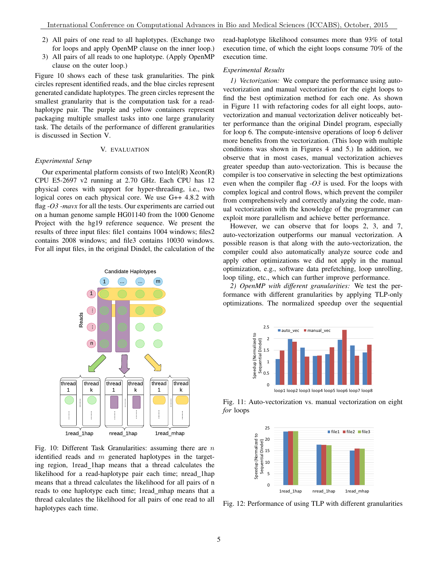- 2) All pairs of one read to all haplotypes. (Exchange two for loops and apply OpenMP clause on the inner loop.)
- 3) All pairs of all reads to one haplotype. (Apply OpenMP clause on the outer loop.)

Figure 10 shows each of these task granularities. The pink circles represent identified reads, and the blue circles represent generated candidate haplotypes. The green circles represent the smallest granularity that is the computation task for a readhaplotype pair. The purple and yellow containers represent packaging multiple smallest tasks into one large granularity task. The details of the performance of different granularities is discussed in Section V.

# V. EVALUATION

# *Experimental Setup*

Our experimental platform consists of two Intel $(R)$  Xeon $(R)$ CPU E5-2697 v2 running at 2.70 GHz. Each CPU has 12 physical cores with support for hyper-threading, i.e., two logical cores on each physical core. We use G++ 4.8.2 with flag *-O3 -mavx* for all the tests. Our experiments are carried out on a human genome sample HG01140 from the 1000 Genome Project with the hg19 reference sequence. We present the results of three input files: file1 contains 1004 windows; files2 contains 2008 windows; and file3 contains 10030 windows. For all input files, in the original Dindel, the calculation of the



Fig. 10: Different Task Granularities: assuming there are *n* identified reads and *m* generated haplotypes in the targeting region, 1read 1hap means that a thread calculates the likelihood for a read-haplotype pair each time; nread 1hap means that a thread calculates the likelihood for all pairs of n reads to one haplotype each time; 1read\_mhap means that a thread calculates the likelihood for all pairs of one read to all haplotypes each time.

read-haplotype likelihood consumes more than 93% of total execution time, of which the eight loops consume 70% of the execution time.

## *Experimental Results*

*1) Vectorization:* We compare the performance using autovectorization and manual vectorization for the eight loops to find the best optimization method for each one. As shown in Figure 11 with refactoring codes for all eight loops, autovectorization and manual vectorization deliver noticeably better performance than the original Dindel program, especially for loop 6. The compute-intensive operations of loop 6 deliver more benefits from the vectorization. (This loop with multiple conditions was shown in Figures 4 and 5.) In addition, we observe that in most cases, manual vectorization achieves greater speedup than auto-vectorization. This is because the compiler is too conservative in selecting the best optimizations even when the compiler flag *-O3* is used. For the loops with complex logical and control flows, which prevent the compiler from comprehensively and correctly analyzing the code, manual vectorization with the knowledge of the programmer can exploit more parallelism and achieve better performance.

However, we can observe that for loops 2, 3, and 7, auto-vectorization outperforms our manual vectorization. A possible reason is that along with the auto-vectorization, the compiler could also automatically analyze source code and apply other optimizations we did not apply in the manual optimization, e.g., software data prefetching, loop unrolling, loop tiling, etc., which can further improve performance.

*2) OpenMP with different granularities:* We test the performance with different granularities by applying TLP-only optimizations. The normalized speedup over the sequential



Fig. 11: Auto-vectorization vs. manual vectorization on eight *for* loops



Fig. 12: Performance of using TLP with different granularities